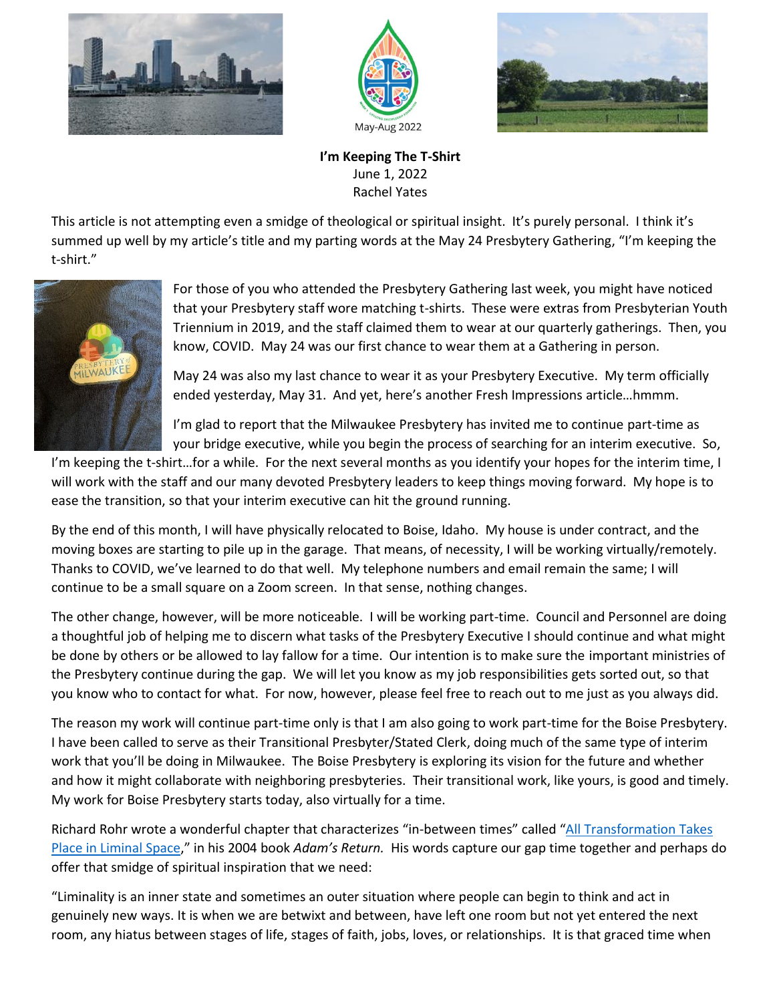





**I'm Keeping The T-Shirt** June 1, 2022 Rachel Yates

This article is not attempting even a smidge of theological or spiritual insight. It's purely personal. I think it's summed up well by my article's title and my parting words at the May 24 Presbytery Gathering, "I'm keeping the t-shirt."



For those of you who attended the Presbytery Gathering last week, you might have noticed that your Presbytery staff wore matching t-shirts. These were extras from Presbyterian Youth Triennium in 2019, and the staff claimed them to wear at our quarterly gatherings. Then, you know, COVID. May 24 was our first chance to wear them at a Gathering in person.

May 24 was also my last chance to wear it as your Presbytery Executive. My term officially ended yesterday, May 31. And yet, here's another Fresh Impressions article…hmmm.

I'm glad to report that the Milwaukee Presbytery has invited me to continue part-time as your bridge executive, while you begin the process of searching for an interim executive. So,

I'm keeping the t-shirt…for a while. For the next several months as you identify your hopes for the interim time, I will work with the staff and our many devoted Presbytery leaders to keep things moving forward. My hope is to ease the transition, so that your interim executive can hit the ground running.

By the end of this month, I will have physically relocated to Boise, Idaho. My house is under contract, and the moving boxes are starting to pile up in the garage. That means, of necessity, I will be working virtually/remotely. Thanks to COVID, we've learned to do that well. My telephone numbers and email remain the same; I will continue to be a small square on a Zoom screen. In that sense, nothing changes.

The other change, however, will be more noticeable. I will be working part-time. Council and Personnel are doing a thoughtful job of helping me to discern what tasks of the Presbytery Executive I should continue and what might be done by others or be allowed to lay fallow for a time. Our intention is to make sure the important ministries of the Presbytery continue during the gap. We will let you know as my job responsibilities gets sorted out, so that you know who to contact for what. For now, however, please feel free to reach out to me just as you always did.

The reason my work will continue part-time only is that I am also going to work part-time for the Boise Presbytery. I have been called to serve as their Transitional Presbyter/Stated Clerk, doing much of the same type of interim work that you'll be doing in Milwaukee. The Boise Presbytery is exploring its vision for the future and whether and how it might collaborate with neighboring presbyteries. Their transitional work, like yours, is good and timely. My work for Boise Presbytery starts today, also virtually for a time.

Richard Rohr wrote a wonderful chapter that characterizes "in-between times" called "[All Transformation Takes](https://missionhr.org/care-and-wellbeing/spiritual-resilience/spiritual-formation/what-is-spiritual-formation/richard-rohr-all-transformation-takes-place-in-liminal-space/)  [Place in Liminal Space](https://missionhr.org/care-and-wellbeing/spiritual-resilience/spiritual-formation/what-is-spiritual-formation/richard-rohr-all-transformation-takes-place-in-liminal-space/)," in his 2004 book *Adam's Return.* His words capture our gap time together and perhaps do offer that smidge of spiritual inspiration that we need:

"Liminality is an inner state and sometimes an outer situation where people can begin to think and act in genuinely new ways. It is when we are betwixt and between, have left one room but not yet entered the next room, any hiatus between stages of life, stages of faith, jobs, loves, or relationships. It is that graced time when